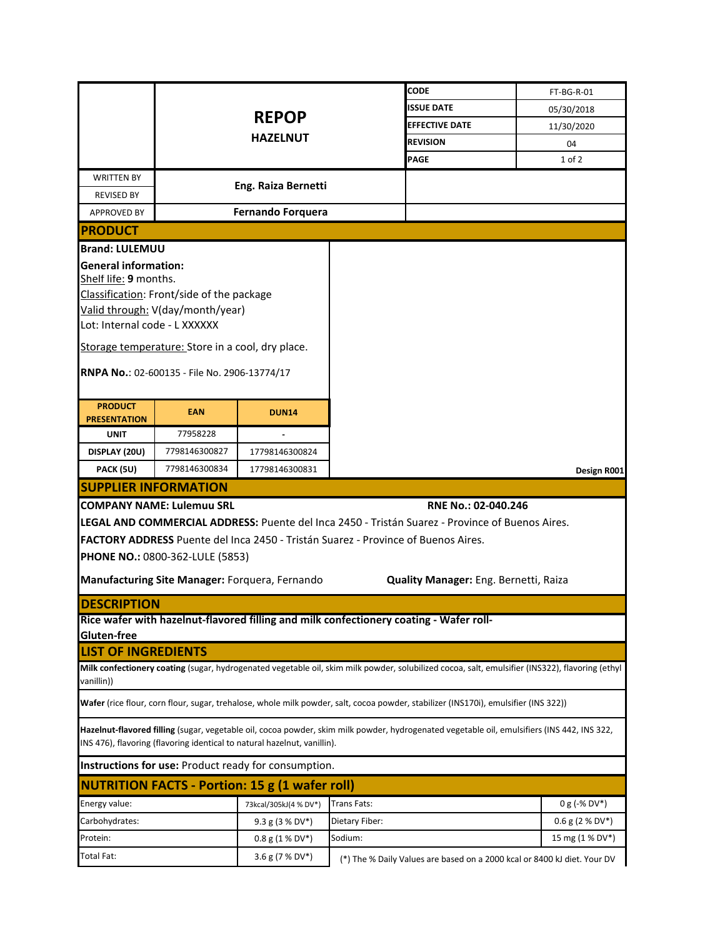|                                                      |                                                  |                                                                          | CODE                                                                                                                                            |                                       |                   |
|------------------------------------------------------|--------------------------------------------------|--------------------------------------------------------------------------|-------------------------------------------------------------------------------------------------------------------------------------------------|---------------------------------------|-------------------|
|                                                      |                                                  |                                                                          | <b>SSUE DATE</b>                                                                                                                                |                                       | FT-BG-R-01        |
|                                                      |                                                  | <b>REPOP</b>                                                             |                                                                                                                                                 |                                       | 05/30/2018        |
|                                                      |                                                  | <b>HAZELNUT</b>                                                          | <b>EFFECTIVE DATE</b>                                                                                                                           |                                       | 11/30/2020        |
|                                                      |                                                  |                                                                          | <b>REVISION</b>                                                                                                                                 |                                       | 04                |
|                                                      |                                                  |                                                                          | <b>PAGE</b>                                                                                                                                     |                                       | 1 of 2            |
| <b>WRITTEN BY</b>                                    |                                                  | Eng. Raiza Bernetti                                                      |                                                                                                                                                 |                                       |                   |
| <b>REVISED BY</b>                                    |                                                  |                                                                          |                                                                                                                                                 |                                       |                   |
| <b>APPROVED BY</b>                                   |                                                  | <b>Fernando Forquera</b>                                                 |                                                                                                                                                 |                                       |                   |
| <b>PRODUCT</b>                                       |                                                  |                                                                          |                                                                                                                                                 |                                       |                   |
| <b>Brand: LULEMUU</b>                                |                                                  |                                                                          |                                                                                                                                                 |                                       |                   |
| <b>General information:</b><br>Shelf life: 9 months. |                                                  |                                                                          |                                                                                                                                                 |                                       |                   |
|                                                      | Classification: Front/side of the package        |                                                                          |                                                                                                                                                 |                                       |                   |
|                                                      | Valid through: V(day/month/year)                 |                                                                          |                                                                                                                                                 |                                       |                   |
| Lot: Internal code - L XXXXXX                        |                                                  |                                                                          |                                                                                                                                                 |                                       |                   |
|                                                      | Storage temperature: Store in a cool, dry place. |                                                                          |                                                                                                                                                 |                                       |                   |
|                                                      |                                                  |                                                                          |                                                                                                                                                 |                                       |                   |
|                                                      | RNPA No.: 02-600135 - File No. 2906-13774/17     |                                                                          |                                                                                                                                                 |                                       |                   |
|                                                      |                                                  |                                                                          |                                                                                                                                                 |                                       |                   |
| <b>PRODUCT</b><br><b>PRESENTATION</b>                | <b>EAN</b>                                       | <b>DUN14</b>                                                             |                                                                                                                                                 |                                       |                   |
| <b>UNIT</b>                                          | 77958228                                         |                                                                          |                                                                                                                                                 |                                       |                   |
| DISPLAY (20U)                                        | 7798146300827                                    | 17798146300824                                                           |                                                                                                                                                 |                                       |                   |
| PACK (5U)                                            | 7798146300834                                    | 17798146300831                                                           |                                                                                                                                                 |                                       | Design R001       |
| <b>SUPPLIER INFORMATION</b>                          |                                                  |                                                                          |                                                                                                                                                 |                                       |                   |
|                                                      | <b>COMPANY NAME: Lulemuu SRL</b>                 |                                                                          |                                                                                                                                                 | RNE No.: 02-040.246                   |                   |
|                                                      |                                                  |                                                                          | LEGAL AND COMMERCIAL ADDRESS: Puente del Inca 2450 - Tristán Suarez - Province of Buenos Aires.                                                 |                                       |                   |
|                                                      |                                                  |                                                                          | FACTORY ADDRESS Puente del Inca 2450 - Tristán Suarez - Province of Buenos Aires.                                                               |                                       |                   |
|                                                      | PHONE NO.: 0800-362-LULE (5853)                  |                                                                          |                                                                                                                                                 |                                       |                   |
|                                                      |                                                  |                                                                          |                                                                                                                                                 |                                       |                   |
|                                                      |                                                  | Manufacturing Site Manager: Forquera, Fernando                           |                                                                                                                                                 | Quality Manager: Eng. Bernetti, Raiza |                   |
| <b>DESCRIPTION</b>                                   |                                                  |                                                                          |                                                                                                                                                 |                                       |                   |
|                                                      |                                                  |                                                                          | Rice wafer with hazelnut-flavored filling and milk confectionery coating - Wafer roll-                                                          |                                       |                   |
| Gluten-free                                          |                                                  |                                                                          |                                                                                                                                                 |                                       |                   |
| <b>LIST OF INGREDIENTS</b>                           |                                                  |                                                                          |                                                                                                                                                 |                                       |                   |
| vanillin))                                           |                                                  |                                                                          | Milk confectionery coating (sugar, hydrogenated vegetable oil, skim milk powder, solubilized cocoa, salt, emulsifier (INS322), flavoring (ethyl |                                       |                   |
|                                                      |                                                  |                                                                          | Wafer (rice flour, corn flour, sugar, trehalose, whole milk powder, salt, cocoa powder, stabilizer (INS170i), emulsifier (INS 322))             |                                       |                   |
|                                                      |                                                  | INS 476), flavoring (flavoring identical to natural hazelnut, vanillin). | Hazelnut-flavored filling (sugar, vegetable oil, cocoa powder, skim milk powder, hydrogenated vegetable oil, emulsifiers (INS 442, INS 322,     |                                       |                   |
|                                                      |                                                  | Instructions for use: Product ready for consumption.                     |                                                                                                                                                 |                                       |                   |
|                                                      |                                                  | <b>NUTRITION FACTS - Portion: 15 g (1 wafer roll)</b>                    |                                                                                                                                                 |                                       |                   |
|                                                      |                                                  |                                                                          |                                                                                                                                                 |                                       |                   |
| Energy value:                                        |                                                  | 73kcal/305kJ(4 % DV*)                                                    | <b>Trans Fats:</b>                                                                                                                              |                                       | $0 g (-\% DV^*)$  |
| Carbohydrates:                                       |                                                  | 9.3 g (3 % DV*)                                                          | Dietary Fiber:                                                                                                                                  |                                       | $0.6$ g (2 % DV*) |
| Protein:                                             |                                                  | $0.8 g (1 % DV*)$                                                        | Sodium:                                                                                                                                         |                                       | 15 mg (1 % DV*)   |
| Total Fat:                                           |                                                  | 3.6 g (7 % DV*)                                                          | (*) The % Daily Values are based on a 2000 kcal or 8400 kJ diet. Your DV                                                                        |                                       |                   |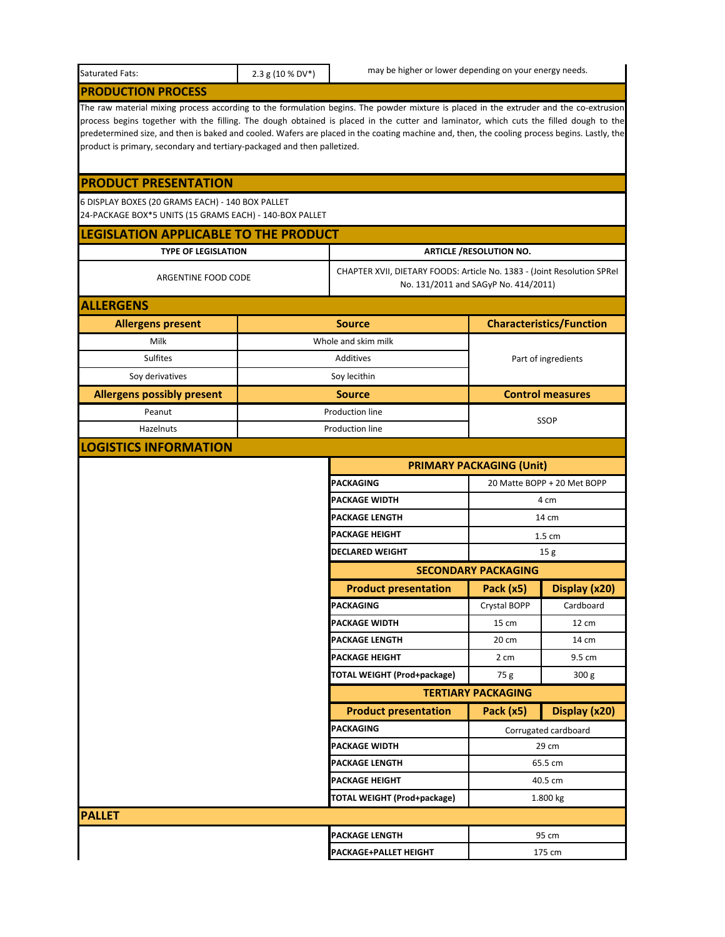| Saturated Fats:                                                                                                                                                                                                                                                                                                                                                                                                                                                                                               | 2.3 g (10 % DV*) | may be higher or lower depending on your energy needs.                  |                                      |                                 |
|---------------------------------------------------------------------------------------------------------------------------------------------------------------------------------------------------------------------------------------------------------------------------------------------------------------------------------------------------------------------------------------------------------------------------------------------------------------------------------------------------------------|------------------|-------------------------------------------------------------------------|--------------------------------------|---------------------------------|
| <b>PRODUCTION PROCESS</b>                                                                                                                                                                                                                                                                                                                                                                                                                                                                                     |                  |                                                                         |                                      |                                 |
| The raw material mixing process according to the formulation begins. The powder mixture is placed in the extruder and the co-extrusion<br>process begins together with the filling. The dough obtained is placed in the cutter and laminator, which cuts the filled dough to the<br>predetermined size, and then is baked and cooled. Wafers are placed in the coating machine and, then, the cooling process begins. Lastly, the<br>product is primary, secondary and tertiary-packaged and then palletized. |                  |                                                                         |                                      |                                 |
| <b>PRODUCT PRESENTATION</b>                                                                                                                                                                                                                                                                                                                                                                                                                                                                                   |                  |                                                                         |                                      |                                 |
| 6 DISPLAY BOXES (20 GRAMS EACH) - 140 BOX PALLET<br>24-PACKAGE BOX*5 UNITS (15 GRAMS EACH) - 140-BOX PALLET                                                                                                                                                                                                                                                                                                                                                                                                   |                  |                                                                         |                                      |                                 |
| LEGISLATION APPLICABLE TO THE PRODUCT                                                                                                                                                                                                                                                                                                                                                                                                                                                                         |                  |                                                                         |                                      |                                 |
| <b>TYPE OF LEGISLATION</b>                                                                                                                                                                                                                                                                                                                                                                                                                                                                                    |                  |                                                                         | <b>ARTICLE /RESOLUTION NO.</b>       |                                 |
| ARGENTINE FOOD CODE                                                                                                                                                                                                                                                                                                                                                                                                                                                                                           |                  | CHAPTER XVII, DIETARY FOODS: Article No. 1383 - (Joint Resolution SPReI | No. 131/2011 and SAGyP No. 414/2011) |                                 |
| <b>ALLERGENS</b>                                                                                                                                                                                                                                                                                                                                                                                                                                                                                              |                  |                                                                         |                                      |                                 |
| <b>Allergens present</b>                                                                                                                                                                                                                                                                                                                                                                                                                                                                                      |                  | <b>Source</b>                                                           |                                      | <b>Characteristics/Function</b> |
| Milk                                                                                                                                                                                                                                                                                                                                                                                                                                                                                                          |                  | Whole and skim milk                                                     |                                      |                                 |
| <b>Sulfites</b>                                                                                                                                                                                                                                                                                                                                                                                                                                                                                               |                  | Additives                                                               |                                      | Part of ingredients             |
| Soy derivatives                                                                                                                                                                                                                                                                                                                                                                                                                                                                                               |                  | Soy lecithin                                                            |                                      |                                 |
| <b>Allergens possibly present</b>                                                                                                                                                                                                                                                                                                                                                                                                                                                                             |                  | <b>Source</b>                                                           |                                      | <b>Control measures</b>         |
| Peanut                                                                                                                                                                                                                                                                                                                                                                                                                                                                                                        |                  | <b>Production line</b>                                                  |                                      | <b>SSOP</b>                     |
| Hazelnuts                                                                                                                                                                                                                                                                                                                                                                                                                                                                                                     |                  | Production line                                                         |                                      |                                 |
| <b>LOGISTICS INFORMATION</b>                                                                                                                                                                                                                                                                                                                                                                                                                                                                                  |                  |                                                                         |                                      |                                 |
|                                                                                                                                                                                                                                                                                                                                                                                                                                                                                                               |                  |                                                                         | <b>PRIMARY PACKAGING (Unit)</b>      |                                 |
|                                                                                                                                                                                                                                                                                                                                                                                                                                                                                                               |                  | <b>PACKAGING</b>                                                        |                                      | 20 Matte BOPP + 20 Met BOPP     |
|                                                                                                                                                                                                                                                                                                                                                                                                                                                                                                               |                  | PACKAGE WIDTH                                                           |                                      | 4 cm                            |
|                                                                                                                                                                                                                                                                                                                                                                                                                                                                                                               |                  | PACKAGE LENGTH                                                          |                                      | 14 cm                           |
|                                                                                                                                                                                                                                                                                                                                                                                                                                                                                                               |                  | <b>PACKAGE HEIGHT</b>                                                   |                                      | 1.5 cm                          |
|                                                                                                                                                                                                                                                                                                                                                                                                                                                                                                               |                  | DECLARED WEIGHT                                                         |                                      | 15 g                            |
|                                                                                                                                                                                                                                                                                                                                                                                                                                                                                                               |                  |                                                                         | <b>SECONDARY PACKAGING</b>           |                                 |
|                                                                                                                                                                                                                                                                                                                                                                                                                                                                                                               |                  | <b>Product presentation</b>                                             | Pack (x5)                            | Display (x20)                   |
|                                                                                                                                                                                                                                                                                                                                                                                                                                                                                                               |                  | PACKAGING                                                               | Crystal BOPP                         | Cardboard                       |
|                                                                                                                                                                                                                                                                                                                                                                                                                                                                                                               |                  | PACKAGE WIDTH                                                           | 15 cm                                | 12 cm                           |
|                                                                                                                                                                                                                                                                                                                                                                                                                                                                                                               |                  | <b>PACKAGE LENGTH</b>                                                   | 20 cm                                | 14 cm                           |
|                                                                                                                                                                                                                                                                                                                                                                                                                                                                                                               |                  | PACKAGE HEIGHT<br><b>TOTAL WEIGHT (Prod+package)</b>                    | 2 cm                                 | 9.5 cm<br>300 g                 |
|                                                                                                                                                                                                                                                                                                                                                                                                                                                                                                               |                  |                                                                         | 75 g<br><b>TERTIARY PACKAGING</b>    |                                 |
|                                                                                                                                                                                                                                                                                                                                                                                                                                                                                                               |                  | <b>Product presentation</b>                                             | Pack (x5)                            | Display (x20)                   |
|                                                                                                                                                                                                                                                                                                                                                                                                                                                                                                               |                  | PACKAGING                                                               |                                      |                                 |
|                                                                                                                                                                                                                                                                                                                                                                                                                                                                                                               |                  | PACKAGE WIDTH                                                           |                                      | Corrugated cardboard<br>29 cm   |
|                                                                                                                                                                                                                                                                                                                                                                                                                                                                                                               |                  | PACKAGE LENGTH                                                          |                                      | 65.5 cm                         |
|                                                                                                                                                                                                                                                                                                                                                                                                                                                                                                               |                  | PACKAGE HEIGHT                                                          |                                      | 40.5 cm                         |
|                                                                                                                                                                                                                                                                                                                                                                                                                                                                                                               |                  | <b>TOTAL WEIGHT (Prod+package)</b>                                      |                                      | 1.800 kg                        |
| <b>PALLET</b>                                                                                                                                                                                                                                                                                                                                                                                                                                                                                                 |                  |                                                                         |                                      |                                 |
|                                                                                                                                                                                                                                                                                                                                                                                                                                                                                                               |                  | PACKAGE LENGTH                                                          |                                      | 95 cm                           |
|                                                                                                                                                                                                                                                                                                                                                                                                                                                                                                               |                  | PACKAGE+PALLET HEIGHT                                                   |                                      | 175 cm                          |